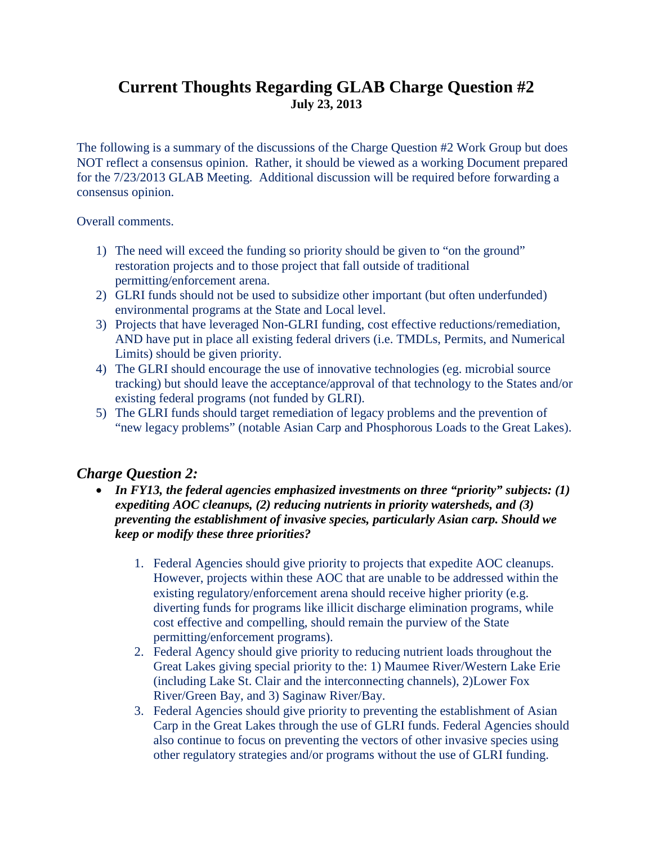## **Current Thoughts Regarding GLAB Charge Question #2 July 23, 2013**

The following is a summary of the discussions of the Charge Question #2 Work Group but does NOT reflect a consensus opinion. Rather, it should be viewed as a working Document prepared for the 7/23/2013 GLAB Meeting. Additional discussion will be required before forwarding a consensus opinion.

Overall comments.

- 1) The need will exceed the funding so priority should be given to "on the ground" restoration projects and to those project that fall outside of traditional permitting/enforcement arena.
- 2) GLRI funds should not be used to subsidize other important (but often underfunded) environmental programs at the State and Local level.
- 3) Projects that have leveraged Non-GLRI funding, cost effective reductions/remediation, AND have put in place all existing federal drivers (i.e. TMDLs, Permits, and Numerical Limits) should be given priority.
- 4) The GLRI should encourage the use of innovative technologies (eg. microbial source tracking) but should leave the acceptance/approval of that technology to the States and/or existing federal programs (not funded by GLRI).
- 5) The GLRI funds should target remediation of legacy problems and the prevention of "new legacy problems" (notable Asian Carp and Phosphorous Loads to the Great Lakes).

## *Charge Question 2:*

- *In FY13, the federal agencies emphasized investments on three "priority" subjects: (1) expediting AOC cleanups, (2) reducing nutrients in priority watersheds, and (3) preventing the establishment of invasive species, particularly Asian carp. Should we keep or modify these three priorities?*
	- 1. Federal Agencies should give priority to projects that expedite AOC cleanups. However, projects within these AOC that are unable to be addressed within the existing regulatory/enforcement arena should receive higher priority (e.g. diverting funds for programs like illicit discharge elimination programs, while cost effective and compelling, should remain the purview of the State permitting/enforcement programs).
	- 2. Federal Agency should give priority to reducing nutrient loads throughout the Great Lakes giving special priority to the: 1) Maumee River/Western Lake Erie (including Lake St. Clair and the interconnecting channels), 2)Lower Fox River/Green Bay, and 3) Saginaw River/Bay.
	- 3. Federal Agencies should give priority to preventing the establishment of Asian Carp in the Great Lakes through the use of GLRI funds. Federal Agencies should also continue to focus on preventing the vectors of other invasive species using other regulatory strategies and/or programs without the use of GLRI funding.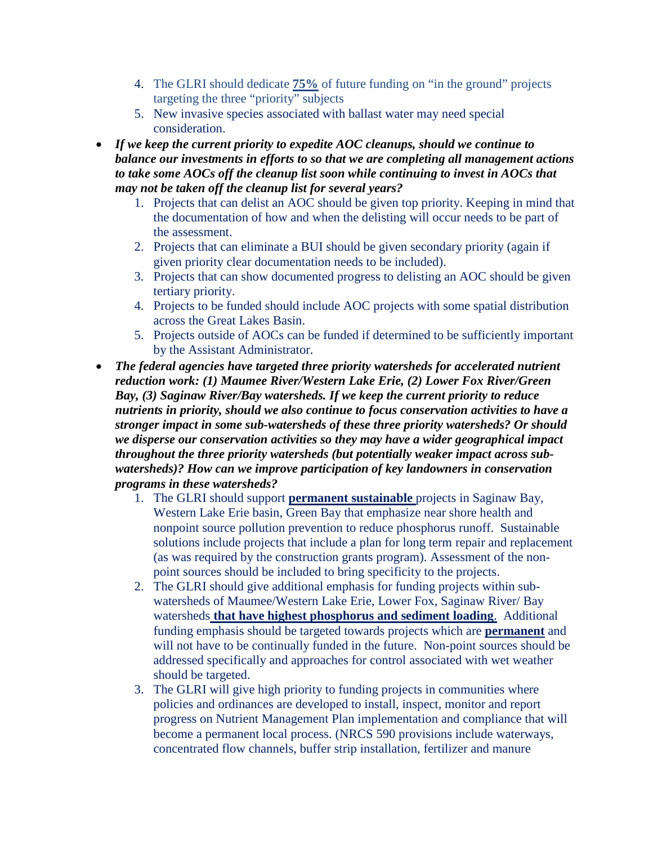- 4. The GLRI should dedicate **75%** of future funding on "in the ground" projects targeting the three "priority" subjects
- 5. New invasive species associated with ballast water may need special consideration.
- *If we keep the current priority to expedite AOC cleanups, should we continue to balance our investments in efforts to so that we are completing all management actions to take some AOCs off the cleanup list soon while continuing to invest in AOCs that may not be taken off the cleanup list for several years?*
	- 1. Projects that can delist an AOC should be given top priority. Keeping in mind that the documentation of how and when the delisting will occur needs to be part of the assessment.
	- 2. Projects that can eliminate a BUI should be given secondary priority (again if given priority clear documentation needs to be included).
	- 3. Projects that can show documented progress to delisting an AOC should be given tertiary priority.
	- 4. Projects to be funded should include AOC projects with some spatial distribution across the Great Lakes Basin.
	- 5. Projects outside of AOCs can be funded if determined to be sufficiently important by the Assistant Administrator.
- *The federal agencies have targeted three priority watersheds for accelerated nutrient reduction work: (1) Maumee River/Western Lake Erie, (2) Lower Fox River/Green Bay, (3) Saginaw River/Bay watersheds. If we keep the current priority to reduce nutrients in priority, should we also continue to focus conservation activities to have a stronger impact in some sub-watersheds of these three priority watersheds? Or should we disperse our conservation activities so they may have a wider geographical impact throughout the three priority watersheds (but potentially weaker impact across subwatersheds)? How can we improve participation of key landowners in conservation programs in these watersheds?*
	- 1. The GLRI should support **permanent sustainable** projects in Saginaw Bay, Western Lake Erie basin, Green Bay that emphasize near shore health and nonpoint source pollution prevention to reduce phosphorus runoff. Sustainable solutions include projects that include a plan for long term repair and replacement (as was required by the construction grants program). Assessment of the nonpoint sources should be included to bring specificity to the projects.
	- 2. The GLRI should give additional emphasis for funding projects within subwatersheds of Maumee/Western Lake Erie, Lower Fox, Saginaw River/ Bay watersheds **that have highest phosphorus and sediment loading**. Additional funding emphasis should be targeted towards projects which are **permanent** and will not have to be continually funded in the future. Non-point sources should be addressed specifically and approaches for control associated with wet weather should be targeted.
	- 3. The GLRI will give high priority to funding projects in communities where policies and ordinances are developed to install, inspect, monitor and report progress on Nutrient Management Plan implementation and compliance that will become a permanent local process. (NRCS 590 provisions include waterways, concentrated flow channels, buffer strip installation, fertilizer and manure